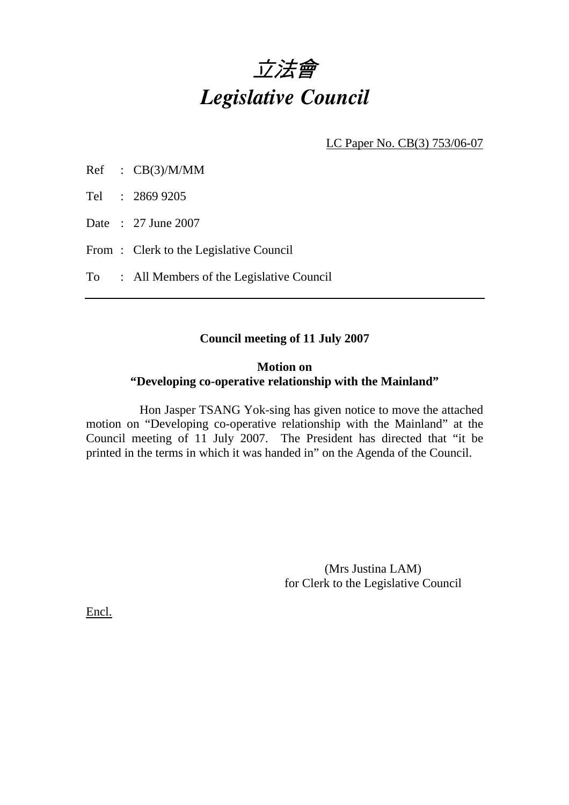

LC Paper No. CB(3) 753/06-07

Tel : 2869 9205

Date : 27 June 2007

From: Clerk to the Legislative Council

To : All Members of the Legislative Council

## **Council meeting of 11 July 2007**

### **Motion on "Developing co-operative relationship with the Mainland"**

 Hon Jasper TSANG Yok-sing has given notice to move the attached motion on "Developing co-operative relationship with the Mainland" at the Council meeting of 11 July 2007. The President has directed that "it be printed in the terms in which it was handed in" on the Agenda of the Council.

> (Mrs Justina LAM) for Clerk to the Legislative Council

Encl.